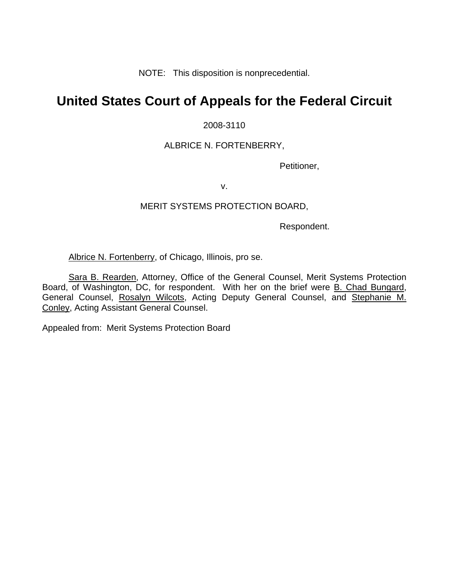NOTE: This disposition is nonprecedential.

# **United States Court of Appeals for the Federal Circuit**

2008-3110

### ALBRICE N. FORTENBERRY,

Petitioner,

v.

#### MERIT SYSTEMS PROTECTION BOARD,

Respondent.

Albrice N. Fortenberry, of Chicago, Illinois, pro se.

Sara B. Rearden, Attorney, Office of the General Counsel, Merit Systems Protection Board, of Washington, DC, for respondent. With her on the brief were B. Chad Bungard, General Counsel, Rosalyn Wilcots, Acting Deputy General Counsel, and Stephanie M. Conley, Acting Assistant General Counsel.

Appealed from: Merit Systems Protection Board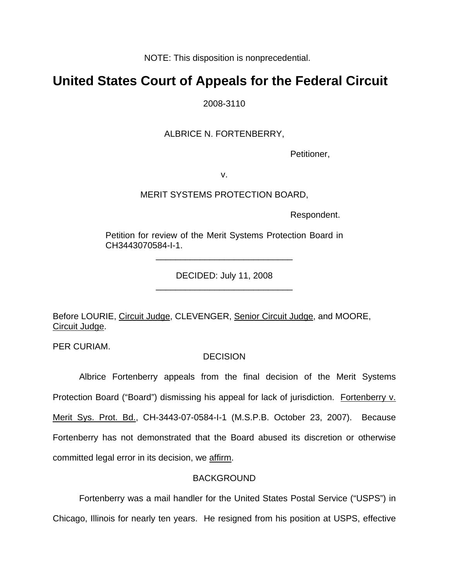NOTE: This disposition is nonprecedential.

## **United States Court of Appeals for the Federal Circuit**

2008-3110

ALBRICE N. FORTENBERRY,

Petitioner,

v.

MERIT SYSTEMS PROTECTION BOARD,

Respondent.

Petition for review of the Merit Systems Protection Board in CH3443070584-I-1.

\_\_\_\_\_\_\_\_\_\_\_\_\_\_\_\_\_\_\_\_\_\_\_\_\_\_\_\_

DECIDED: July 11, 2008 \_\_\_\_\_\_\_\_\_\_\_\_\_\_\_\_\_\_\_\_\_\_\_\_\_\_\_\_

Before LOURIE, Circuit Judge, CLEVENGER, Senior Circuit Judge, and MOORE, Circuit Judge.

PER CURIAM.

### **DECISION**

 Albrice Fortenberry appeals from the final decision of the Merit Systems Protection Board ("Board") dismissing his appeal for lack of jurisdiction. Fortenberry v. Merit Sys. Prot. Bd., CH-3443-07-0584-I-1 (M.S.P.B. October 23, 2007). Because Fortenberry has not demonstrated that the Board abused its discretion or otherwise committed legal error in its decision, we affirm.

### BACKGROUND

 Fortenberry was a mail handler for the United States Postal Service ("USPS") in Chicago, Illinois for nearly ten years. He resigned from his position at USPS, effective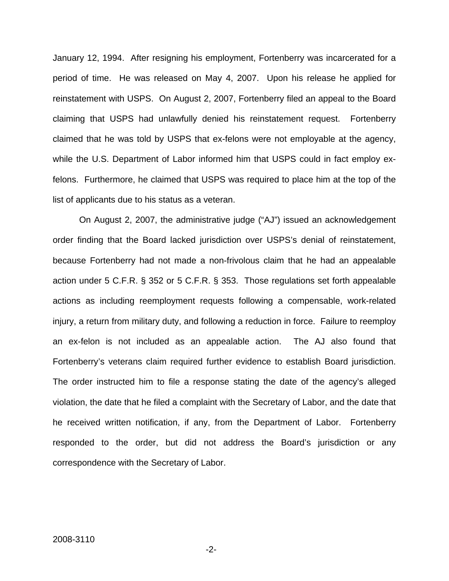January 12, 1994. After resigning his employment, Fortenberry was incarcerated for a period of time. He was released on May 4, 2007. Upon his release he applied for reinstatement with USPS. On August 2, 2007, Fortenberry filed an appeal to the Board claiming that USPS had unlawfully denied his reinstatement request. Fortenberry claimed that he was told by USPS that ex-felons were not employable at the agency, while the U.S. Department of Labor informed him that USPS could in fact employ exfelons. Furthermore, he claimed that USPS was required to place him at the top of the list of applicants due to his status as a veteran.

 On August 2, 2007, the administrative judge ("AJ") issued an acknowledgement order finding that the Board lacked jurisdiction over USPS's denial of reinstatement, because Fortenberry had not made a non-frivolous claim that he had an appealable action under 5 C.F.R. § 352 or 5 C.F.R. § 353. Those regulations set forth appealable actions as including reemployment requests following a compensable, work-related injury, a return from military duty, and following a reduction in force. Failure to reemploy an ex-felon is not included as an appealable action. The AJ also found that Fortenberry's veterans claim required further evidence to establish Board jurisdiction. The order instructed him to file a response stating the date of the agency's alleged violation, the date that he filed a complaint with the Secretary of Labor, and the date that he received written notification, if any, from the Department of Labor. Fortenberry responded to the order, but did not address the Board's jurisdiction or any correspondence with the Secretary of Labor.

-2-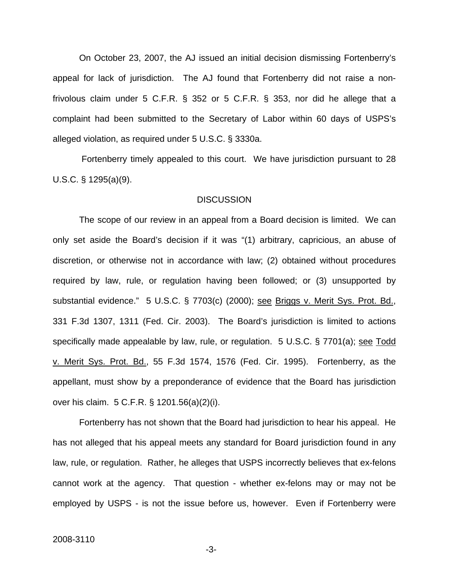On October 23, 2007, the AJ issued an initial decision dismissing Fortenberry's appeal for lack of jurisdiction. The AJ found that Fortenberry did not raise a nonfrivolous claim under 5 C.F.R. § 352 or 5 C.F.R. § 353, nor did he allege that a complaint had been submitted to the Secretary of Labor within 60 days of USPS's alleged violation, as required under 5 U.S.C. § 3330a.

 Fortenberry timely appealed to this court. We have jurisdiction pursuant to 28 U.S.C. § 1295(a)(9).

#### **DISCUSSION**

The scope of our review in an appeal from a Board decision is limited. We can only set aside the Board's decision if it was "(1) arbitrary, capricious, an abuse of discretion, or otherwise not in accordance with law; (2) obtained without procedures required by law, rule, or regulation having been followed; or (3) unsupported by substantial evidence." 5 U.S.C. § 7703(c) (2000); see Briggs v. Merit Sys. Prot. Bd., 331 F.3d 1307, 1311 (Fed. Cir. 2003). The Board's jurisdiction is limited to actions specifically made appealable by law, rule, or regulation. 5 U.S.C. § 7701(a); see Todd v. Merit Sys. Prot. Bd., 55 F.3d 1574, 1576 (Fed. Cir. 1995). Fortenberry, as the appellant, must show by a preponderance of evidence that the Board has jurisdiction over his claim. 5 C.F.R. § 1201.56(a)(2)(i).

Fortenberry has not shown that the Board had jurisdiction to hear his appeal. He has not alleged that his appeal meets any standard for Board jurisdiction found in any law, rule, or regulation. Rather, he alleges that USPS incorrectly believes that ex-felons cannot work at the agency. That question - whether ex-felons may or may not be employed by USPS - is not the issue before us, however. Even if Fortenberry were

-3-